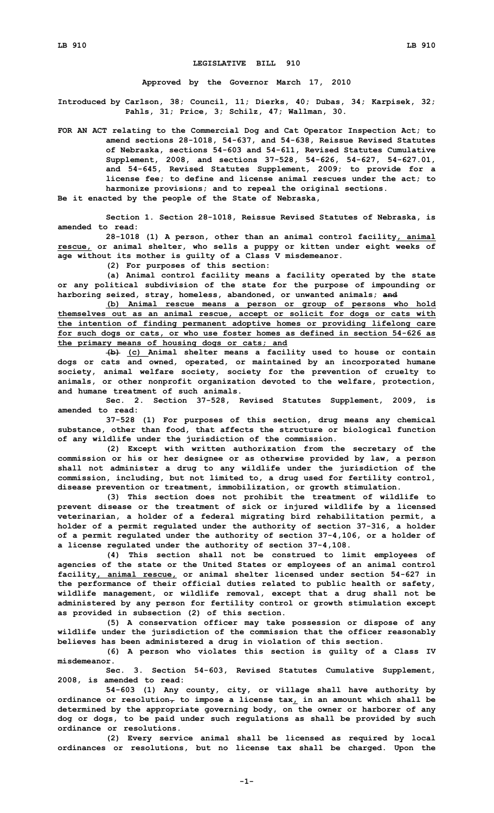## **LEGISLATIVE BILL 910**

**Approved by the Governor March 17, 2010**

**Introduced by Carlson, 38; Council, 11; Dierks, 40; Dubas, 34; Karpisek, 32; Pahls, 31; Price, 3; Schilz, 47; Wallman, 30.**

**FOR AN ACT relating to the Commercial Dog and Cat Operator Inspection Act; to amend sections 28-1018, 54-637, and 54-638, Reissue Revised Statutes of Nebraska, sections 54-603 and 54-611, Revised Statutes Cumulative Supplement, 2008, and sections 37-528, 54-626, 54-627, 54-627.01, and 54-645, Revised Statutes Supplement, 2009; to provide for <sup>a</sup> license fee; to define and license animal rescues under the act; to harmonize provisions; and to repeal the original sections.**

**Be it enacted by the people of the State of Nebraska,**

**Section 1. Section 28-1018, Reissue Revised Statutes of Nebraska, is amended to read:**

**28-1018 (1) <sup>A</sup> person, other than an animal control facility, animal rescue, or animal shelter, who sells <sup>a</sup> puppy or kitten under eight weeks of age without its mother is guilty of <sup>a</sup> Class V misdemeanor.**

**(2) For purposes of this section:**

**(a) Animal control facility means <sup>a</sup> facility operated by the state or any political subdivision of the state for the purpose of impounding or harboring seized, stray, homeless, abandoned, or unwanted animals; and**

**(b) Animal rescue means <sup>a</sup> person or group of persons who hold themselves out as an animal rescue, accept or solicit for dogs or cats with the intention of finding permanent adoptive homes or providing lifelong care for such dogs or cats, or who use foster homes as defined in section 54-626 as the primary means of housing dogs or cats; and**

**(b) (c) Animal shelter means <sup>a</sup> facility used to house or contain dogs or cats and owned, operated, or maintained by an incorporated humane society, animal welfare society, society for the prevention of cruelty to animals, or other nonprofit organization devoted to the welfare, protection, and humane treatment of such animals.**

**Sec. 2. Section 37-528, Revised Statutes Supplement, 2009, is amended to read:**

**37-528 (1) For purposes of this section, drug means any chemical substance, other than food, that affects the structure or biological function of any wildlife under the jurisdiction of the commission.**

**(2) Except with written authorization from the secretary of the commission or his or her designee or as otherwise provided by law, <sup>a</sup> person shall not administer <sup>a</sup> drug to any wildlife under the jurisdiction of the commission, including, but not limited to, <sup>a</sup> drug used for fertility control, disease prevention or treatment, immobilization, or growth stimulation.**

**(3) This section does not prohibit the treatment of wildlife to prevent disease or the treatment of sick or injured wildlife by <sup>a</sup> licensed veterinarian, <sup>a</sup> holder of <sup>a</sup> federal migrating bird rehabilitation permit, <sup>a</sup> holder of <sup>a</sup> permit regulated under the authority of section 37-316, <sup>a</sup> holder of <sup>a</sup> permit regulated under the authority of section 37-4,106, or <sup>a</sup> holder of <sup>a</sup> license regulated under the authority of section 37-4,108.**

**(4) This section shall not be construed to limit employees of agencies of the state or the United States or employees of an animal control facility, animal rescue, or animal shelter licensed under section 54-627 in the performance of their official duties related to public health or safety, wildlife management, or wildlife removal, except that <sup>a</sup> drug shall not be administered by any person for fertility control or growth stimulation except as provided in subsection (2) of this section.**

**(5) <sup>A</sup> conservation officer may take possession or dispose of any wildlife under the jurisdiction of the commission that the officer reasonably believes has been administered <sup>a</sup> drug in violation of this section.**

**(6) <sup>A</sup> person who violates this section is guilty of <sup>a</sup> Class IV misdemeanor.**

**Sec. 3. Section 54-603, Revised Statutes Cumulative Supplement, 2008, is amended to read:**

**54-603 (1) Any county, city, or village shall have authority by**  $\sigma$ *ordinance* or  $\text{resolution}_{\tau}$  to impose a license  $\tan x_L$  in an amount which shall be **determined by the appropriate governing body, on the owner or harborer of any dog or dogs, to be paid under such regulations as shall be provided by such ordinance or resolutions.**

**(2) Every service animal shall be licensed as required by local ordinances or resolutions, but no license tax shall be charged. Upon the**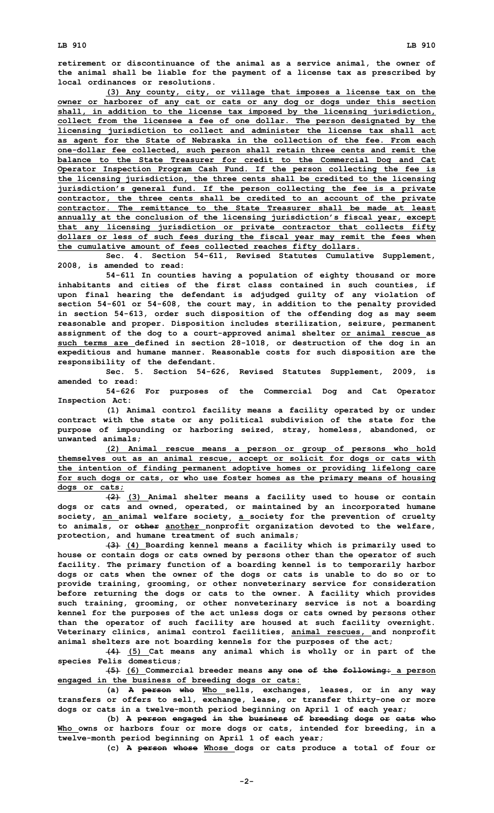**(3) Any county, city, or village that imposes <sup>a</sup> license tax on the owner or harborer of any cat or cats or any dog or dogs under this section shall, in addition to the license tax imposed by the licensing jurisdiction, collect from the licensee <sup>a</sup> fee of one dollar. The person designated by the licensing jurisdiction to collect and administer the license tax shall act as agent for the State of Nebraska in the collection of the fee. From each one-dollar fee collected, such person shall retain three cents and remit the balance to the State Treasurer for credit to the Commercial Dog and Cat Operator Inspection Program Cash Fund. If the person collecting the fee is the licensing jurisdiction, the three cents shall be credited to the licensing jurisdiction's general fund. If the person collecting the fee is <sup>a</sup> private contractor, the three cents shall be credited to an account of the private contractor. The remittance to the State Treasurer shall be made at least annually at the conclusion of the licensing jurisdiction's fiscal year, except that any licensing jurisdiction or private contractor that collects fifty dollars or less of such fees during the fiscal year may remit the fees when the cumulative amount of fees collected reaches fifty dollars.**

**Sec. 4. Section 54-611, Revised Statutes Cumulative Supplement, 2008, is amended to read:**

**54-611 In counties having <sup>a</sup> population of eighty thousand or more inhabitants and cities of the first class contained in such counties, if upon final hearing the defendant is adjudged guilty of any violation of section 54-601 or 54-608, the court may, in addition to the penalty provided in section 54-613, order such disposition of the offending dog as may seem reasonable and proper. Disposition includes sterilization, seizure, permanent assignment of the dog to <sup>a</sup> court-approved animal shelter or animal rescue as such terms are defined in section 28-1018, or destruction of the dog in an expeditious and humane manner. Reasonable costs for such disposition are the responsibility of the defendant.**

**Sec. 5. Section 54-626, Revised Statutes Supplement, 2009, is amended to read:**

**54-626 For purposes of the Commercial Dog and Cat Operator Inspection Act:**

**(1) Animal control facility means <sup>a</sup> facility operated by or under contract with the state or any political subdivision of the state for the purpose of impounding or harboring seized, stray, homeless, abandoned, or unwanted animals;**

**(2) Animal rescue means <sup>a</sup> person or group of persons who hold themselves out as an animal rescue, accept or solicit for dogs or cats with the intention of finding permanent adoptive homes or providing lifelong care for such dogs or cats, or who use foster homes as the primary means of housing dogs or cats;**

**(2) (3) Animal shelter means <sup>a</sup> facility used to house or contain dogs or cats and owned, operated, or maintained by an incorporated humane society, an animal welfare society, <sup>a</sup> society for the prevention of cruelty to animals, or other another nonprofit organization devoted to the welfare, protection, and humane treatment of such animals;**

**(3) (4) Boarding kennel means <sup>a</sup> facility which is primarily used to house or contain dogs or cats owned by persons other than the operator of such facility. The primary function of <sup>a</sup> boarding kennel is to temporarily harbor dogs or cats when the owner of the dogs or cats is unable to do so or to provide training, grooming, or other nonveterinary service for consideration before returning the dogs or cats to the owner. A facility which provides such training, grooming, or other nonveterinary service is not <sup>a</sup> boarding kennel for the purposes of the act unless dogs or cats owned by persons other than the operator of such facility are housed at such facility overnight. Veterinary clinics, animal control facilities, animal rescues, and nonprofit animal shelters are not boarding kennels for the purposes of the act;**

**(4) (5) Cat means any animal which is wholly or in part of the species Felis domesticus;**

**(5) (6) Commercial breeder means any one of the following: <sup>a</sup> person engaged in the business of breeding dogs or cats:**

**(a) <sup>A</sup> person who Who sells, exchanges, leases, or in any way transfers or offers to sell, exchange, lease, or transfer thirty-one or more dogs or cats in <sup>a</sup> twelve-month period beginning on April 1 of each year;**

**(b) <sup>A</sup> person engaged in the business of breeding dogs or cats who Who owns or harbors four or more dogs or cats, intended for breeding, in <sup>a</sup> twelve-month period beginning on April 1 of each year;**

**(c) <sup>A</sup> person whose Whose dogs or cats produce <sup>a</sup> total of four or**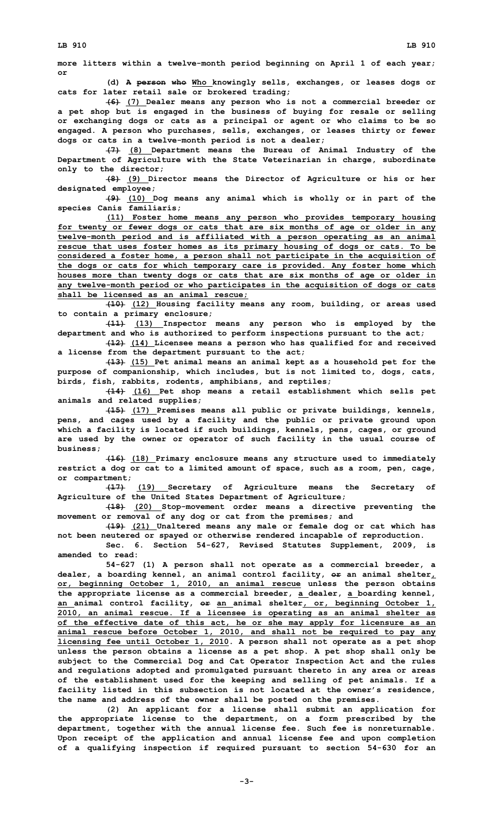**more litters within <sup>a</sup> twelve-month period beginning on April 1 of each year; or**

**(d) <sup>A</sup> person who Who knowingly sells, exchanges, or leases dogs or cats for later retail sale or brokered trading;**

**(6) (7) Dealer means any person who is not <sup>a</sup> commercial breeder or <sup>a</sup> pet shop but is engaged in the business of buying for resale or selling or exchanging dogs or cats as <sup>a</sup> principal or agent or who claims to be so engaged. A person who purchases, sells, exchanges, or leases thirty or fewer dogs or cats in <sup>a</sup> twelve-month period is not <sup>a</sup> dealer;**

**(7) (8) Department means the Bureau of Animal Industry of the Department of Agriculture with the State Veterinarian in charge, subordinate only to the director;**

**(8) (9) Director means the Director of Agriculture or his or her designated employee;**

**(9) (10) Dog means any animal which is wholly or in part of the species Canis familiaris;**

**(11) Foster home means any person who provides temporary housing for twenty or fewer dogs or cats that are six months of age or older in any twelve-month period and is affiliated with <sup>a</sup> person operating as an animal rescue that uses foster homes as its primary housing of dogs or cats. To be considered <sup>a</sup> foster home, <sup>a</sup> person shall not participate in the acquisition of the dogs or cats for which temporary care is provided. Any foster home which houses more than twenty dogs or cats that are six months of age or older in any twelve-month period or who participates in the acquisition of dogs or cats shall be licensed as an animal rescue;**

**(10) (12) Housing facility means any room, building, or areas used to contain <sup>a</sup> primary enclosure;**

**(11) (13) Inspector means any person who is employed by the department and who is authorized to perform inspections pursuant to the act;**

**(12) (14) Licensee means <sup>a</sup> person who has qualified for and received <sup>a</sup> license from the department pursuant to the act;**

**(13) (15) Pet animal means an animal kept as <sup>a</sup> household pet for the purpose of companionship, which includes, but is not limited to, dogs, cats, birds, fish, rabbits, rodents, amphibians, and reptiles;**

**(14) (16) Pet shop means <sup>a</sup> retail establishment which sells pet animals and related supplies;**

**(15) (17) Premises means all public or private buildings, kennels, pens, and cages used by <sup>a</sup> facility and the public or private ground upon which <sup>a</sup> facility is located if such buildings, kennels, pens, cages, or ground are used by the owner or operator of such facility in the usual course of business;**

**(16) (18) Primary enclosure means any structure used to immediately restrict <sup>a</sup> dog or cat to <sup>a</sup> limited amount of space, such as <sup>a</sup> room, pen, cage, or compartment;**

**(17) (19) Secretary of Agriculture means the Secretary of Agriculture of the United States Department of Agriculture;**

**(18) (20) Stop-movement order means <sup>a</sup> directive preventing the movement or removal of any dog or cat from the premises; and**

**(19) (21) Unaltered means any male or female dog or cat which has not been neutered or spayed or otherwise rendered incapable of reproduction.**

**Sec. 6. Section 54-627, Revised Statutes Supplement, 2009, is amended to read:**

**54-627 (1) <sup>A</sup> person shall not operate as <sup>a</sup> commercial breeder, <sup>a</sup> dealer, <sup>a</sup> boarding kennel, an animal control facility, or an animal shelter, or, beginning October 1, 2010, an animal rescue unless the person obtains the appropriate license as <sup>a</sup> commercial breeder, <sup>a</sup> dealer, <sup>a</sup> boarding kennel, an animal control facility, or an animal shelter, or, beginning October 1, 2010, an animal rescue. If <sup>a</sup> licensee is operating as an animal shelter as of the effective date of this act, he or she may apply for licensure as an animal rescue before October 1, 2010, and shall not be required to pay any licensing fee until October 1, 2010. <sup>A</sup> person shall not operate as <sup>a</sup> pet shop unless the person obtains <sup>a</sup> license as <sup>a</sup> pet shop. A pet shop shall only be subject to the Commercial Dog and Cat Operator Inspection Act and the rules and regulations adopted and promulgated pursuant thereto in any area or areas of the establishment used for the keeping and selling of pet animals. If <sup>a</sup> facility listed in this subsection is not located at the owner's residence, the name and address of the owner shall be posted on the premises.**

**(2) An applicant for <sup>a</sup> license shall submit an application for the appropriate license to the department, on <sup>a</sup> form prescribed by the department, together with the annual license fee. Such fee is nonreturnable. Upon receipt of the application and annual license fee and upon completion of <sup>a</sup> qualifying inspection if required pursuant to section 54-630 for an**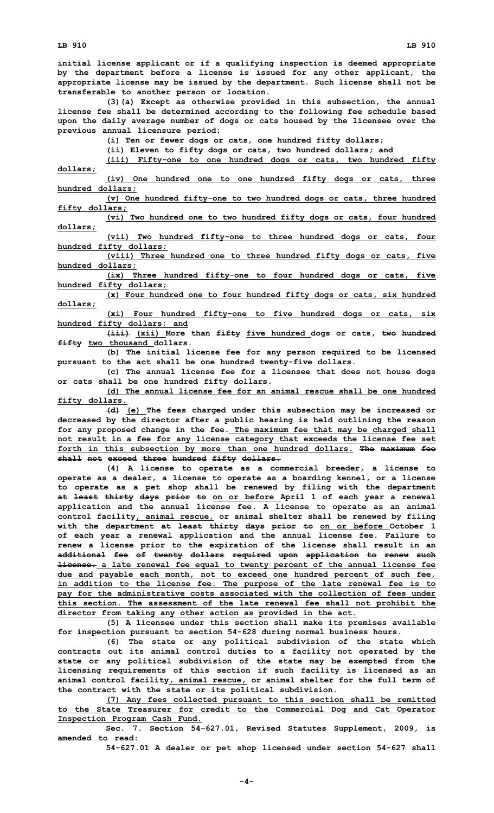**initial license applicant or if <sup>a</sup> qualifying inspection is deemed appropriate by the department before <sup>a</sup> license is issued for any other applicant, the appropriate license may be issued by the department. Such license shall not be transferable to another person or location.**

**(3)(a) Except as otherwise provided in this subsection, the annual license fee shall be determined according to the following fee schedule based upon the daily average number of dogs or cats housed by the licensee over the previous annual licensure period:**

**(i) Ten or fewer dogs or cats, one hundred fifty dollars;**

**(ii) Eleven to fifty dogs or cats, two hundred dollars; and**

**(iii) Fifty-one to one hundred dogs or cats, two hundred fifty dollars;**

**(iv) One hundred one to one hundred fifty dogs or cats, three hundred dollars;**

**(v) One hundred fifty-one to two hundred dogs or cats, three hundred fifty dollars;**

**(vi) Two hundred one to two hundred fifty dogs or cats, four hundred dollars;**

**(vii) Two hundred fifty-one to three hundred dogs or cats, four hundred fifty dollars;**

**(viii) Three hundred one to three hundred fifty dogs or cats, five hundred dollars;**

**(ix) Three hundred fifty-one to four hundred dogs or cats, five hundred fifty dollars;**

**(x) Four hundred one to four hundred fifty dogs or cats, six hundred dollars;**

**(xi) Four hundred fifty-one to five hundred dogs or cats, six hundred fifty dollars; and**

**(iii) (xii) More than fifty five hundred dogs or cats, two hundred fifty two thousand dollars.**

**(b) The initial license fee for any person required to be licensed pursuant to the act shall be one hundred twenty-five dollars.**

**(c) The annual license fee for <sup>a</sup> licensee that does not house dogs or cats shall be one hundred fifty dollars.**

**(d) The annual license fee for an animal rescue shall be one hundred fifty dollars.**

**(d) (e) The fees charged under this subsection may be increased or decreased by the director after <sup>a</sup> public hearing is held outlining the reason for any proposed change in the fee. The maximum fee that may be charged shall not result in <sup>a</sup> fee for any license category that exceeds the license fee set forth in this subsection by more than one hundred dollars. The maximum fee shall not exceed three hundred fifty dollars.**

**(4) <sup>A</sup> license to operate as <sup>a</sup> commercial breeder, <sup>a</sup> license to operate as <sup>a</sup> dealer, <sup>a</sup> license to operate as <sup>a</sup> boarding kennel, or <sup>a</sup> license to operate as <sup>a</sup> pet shop shall be renewed by filing with the department at least thirty days prior to on or before April 1 of each year <sup>a</sup> renewal application and the annual license fee. A license to operate as an animal control facility, animal rescue, or animal shelter shall be renewed by filing with the department at least thirty days prior to on or before October 1 of each year <sup>a</sup> renewal application and the annual license fee. Failure to renew <sup>a</sup> license prior to the expiration of the license shall result in an additional fee of twenty dollars required upon application to renew such license. <sup>a</sup> late renewal fee equal to twenty percent of the annual license fee due and payable each month, not to exceed one hundred percent of such fee, in addition to the license fee. The purpose of the late renewal fee is to pay for the administrative costs associated with the collection of fees under this section. The assessment of the late renewal fee shall not prohibit the director from taking any other action as provided in the act.**

**(5) <sup>A</sup> licensee under this section shall make its premises available for inspection pursuant to section 54-628 during normal business hours.**

**(6) The state or any political subdivision of the state which contracts out its animal control duties to <sup>a</sup> facility not operated by the state or any political subdivision of the state may be exempted from the licensing requirements of this section if such facility is licensed as an animal control facility, animal rescue, or animal shelter for the full term of the contract with the state or its political subdivision.**

**(7) Any fees collected pursuant to this section shall be remitted to the State Treasurer for credit to the Commercial Dog and Cat Operator Inspection Program Cash Fund.**

**Sec. 7. Section 54-627.01, Revised Statutes Supplement, 2009, is amended to read:**

**54-627.01 <sup>A</sup> dealer or pet shop licensed under section 54-627 shall**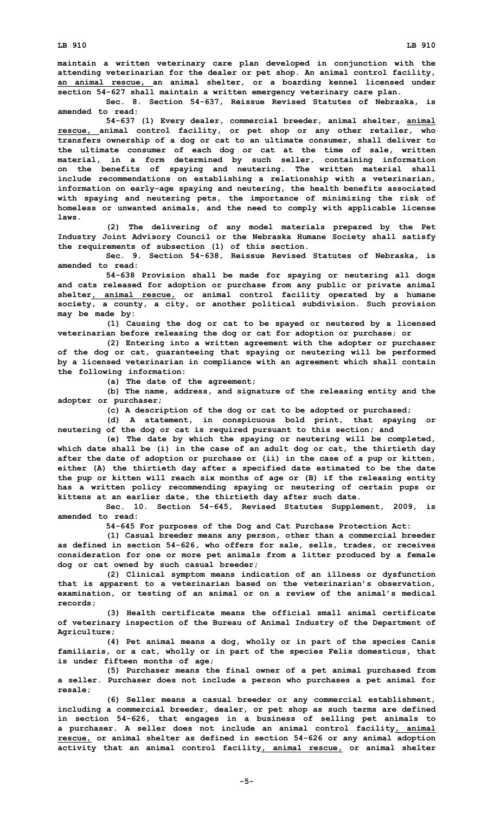**maintain <sup>a</sup> written veterinary care plan developed in conjunction with the attending veterinarian for the dealer or pet shop. An animal control facility, an animal rescue, an animal shelter, or <sup>a</sup> boarding kennel licensed under section 54-627 shall maintain <sup>a</sup> written emergency veterinary care plan.**

**Sec. 8. Section 54-637, Reissue Revised Statutes of Nebraska, is amended to read:**

**54-637 (1) Every dealer, commercial breeder, animal shelter, animal rescue, animal control facility, or pet shop or any other retailer, who transfers ownership of <sup>a</sup> dog or cat to an ultimate consumer, shall deliver to the ultimate consumer of each dog or cat at the time of sale, written material, in <sup>a</sup> form determined by such seller, containing information on the benefits of spaying and neutering. The written material shall include recommendations on establishing <sup>a</sup> relationship with <sup>a</sup> veterinarian, information on early-age spaying and neutering, the health benefits associated with spaying and neutering pets, the importance of minimizing the risk of homeless or unwanted animals, and the need to comply with applicable license laws.**

**(2) The delivering of any model materials prepared by the Pet Industry Joint Advisory Council or the Nebraska Humane Society shall satisfy the requirements of subsection (1) of this section.**

**Sec. 9. Section 54-638, Reissue Revised Statutes of Nebraska, is amended to read:**

**54-638 Provision shall be made for spaying or neutering all dogs and cats released for adoption or purchase from any public or private animal shelter, animal rescue, or animal control facility operated by <sup>a</sup> humane society, <sup>a</sup> county, <sup>a</sup> city, or another political subdivision. Such provision may be made by:**

**(1) Causing the dog or cat to be spayed or neutered by <sup>a</sup> licensed veterinarian before releasing the dog or cat for adoption or purchase; or**

**(2) Entering into <sup>a</sup> written agreement with the adopter or purchaser of the dog or cat, guaranteeing that spaying or neutering will be performed by <sup>a</sup> licensed veterinarian in compliance with an agreement which shall contain the following information:**

**(a) The date of the agreement;**

**(b) The name, address, and signature of the releasing entity and the adopter or purchaser;**

**(c) <sup>A</sup> description of the dog or cat to be adopted or purchased;**

**(d) <sup>A</sup> statement, in conspicuous bold print, that spaying or neutering of the dog or cat is required pursuant to this section; and**

**(e) The date by which the spaying or neutering will be completed, which date shall be (i) in the case of an adult dog or cat, the thirtieth day after the date of adoption or purchase or (ii) in the case of <sup>a</sup> pup or kitten, either (A) the thirtieth day after <sup>a</sup> specified date estimated to be the date the pup or kitten will reach six months of age or (B) if the releasing entity has <sup>a</sup> written policy recommending spaying or neutering of certain pups or kittens at an earlier date, the thirtieth day after such date.**

**Sec. 10. Section 54-645, Revised Statutes Supplement, 2009, is amended to read:**

**54-645 For purposes of the Dog and Cat Purchase Protection Act:**

**(1) Casual breeder means any person, other than <sup>a</sup> commercial breeder as defined in section 54-626, who offers for sale, sells, trades, or receives consideration for one or more pet animals from <sup>a</sup> litter produced by <sup>a</sup> female dog or cat owned by such casual breeder;**

**(2) Clinical symptom means indication of an illness or dysfunction that is apparent to <sup>a</sup> veterinarian based on the veterinarian's observation, examination, or testing of an animal or on <sup>a</sup> review of the animal's medical records;**

**(3) Health certificate means the official small animal certificate of veterinary inspection of the Bureau of Animal Industry of the Department of Agriculture;**

**(4) Pet animal means <sup>a</sup> dog, wholly or in part of the species Canis familiaris, or <sup>a</sup> cat, wholly or in part of the species Felis domesticus, that is under fifteen months of age;**

**(5) Purchaser means the final owner of <sup>a</sup> pet animal purchased from <sup>a</sup> seller. Purchaser does not include <sup>a</sup> person who purchases <sup>a</sup> pet animal for resale;**

**(6) Seller means <sup>a</sup> casual breeder or any commercial establishment, including <sup>a</sup> commercial breeder, dealer, or pet shop as such terms are defined in section 54-626, that engages in <sup>a</sup> business of selling pet animals to <sup>a</sup> purchaser. A seller does not include an animal control facility, animal rescue, or animal shelter as defined in section 54-626 or any animal adoption activity that an animal control facility, animal rescue, or animal shelter**